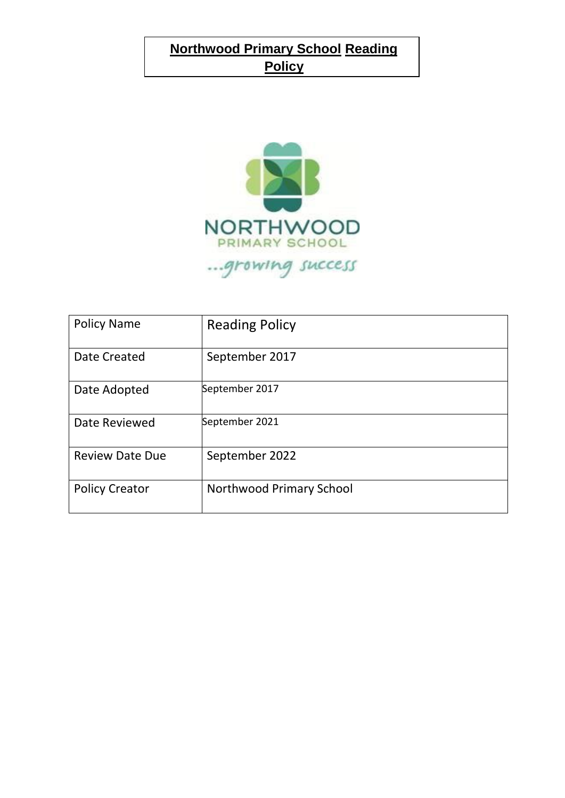# **Northwood Primary School Reading Policy**



| <b>Policy Name</b>     | <b>Reading Policy</b>    |
|------------------------|--------------------------|
| <b>Date Created</b>    | September 2017           |
| Date Adopted           | September 2017           |
| Date Reviewed          | September 2021           |
| <b>Review Date Due</b> | September 2022           |
| <b>Policy Creator</b>  | Northwood Primary School |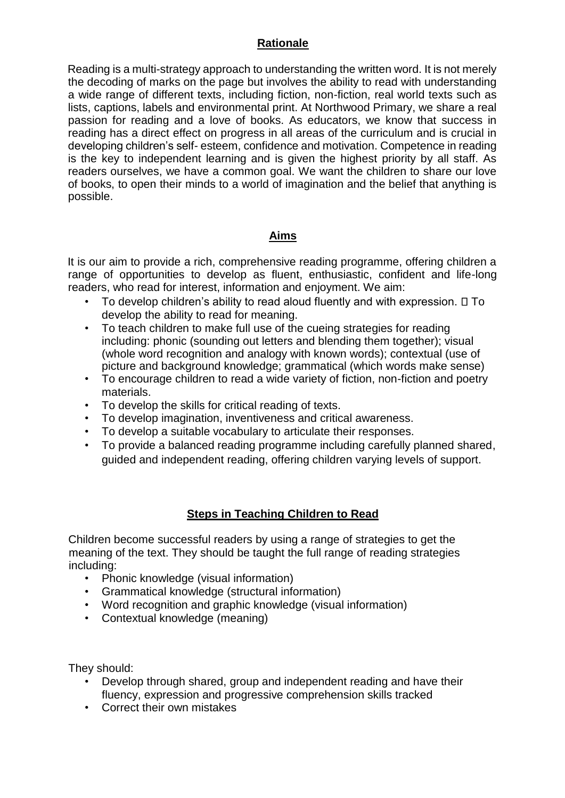## **Rationale**

Reading is a multi-strategy approach to understanding the written word. It is not merely the decoding of marks on the page but involves the ability to read with understanding a wide range of different texts, including fiction, non-fiction, real world texts such as lists, captions, labels and environmental print. At Northwood Primary, we share a real passion for reading and a love of books. As educators, we know that success in reading has a direct effect on progress in all areas of the curriculum and is crucial in developing children's self- esteem, confidence and motivation. Competence in reading is the key to independent learning and is given the highest priority by all staff. As readers ourselves, we have a common goal. We want the children to share our love of books, to open their minds to a world of imagination and the belief that anything is possible.

## **Aims**

It is our aim to provide a rich, comprehensive reading programme, offering children a range of opportunities to develop as fluent, enthusiastic, confident and life-long readers, who read for interest, information and enjoyment. We aim:

- To develop children's ability to read aloud fluently and with expression.  $\square$  To develop the ability to read for meaning.
- To teach children to make full use of the cueing strategies for reading including: phonic (sounding out letters and blending them together); visual (whole word recognition and analogy with known words); contextual (use of picture and background knowledge; grammatical (which words make sense)
- To encourage children to read a wide variety of fiction, non-fiction and poetry materials.
- To develop the skills for critical reading of texts.
- To develop imagination, inventiveness and critical awareness.
- To develop a suitable vocabulary to articulate their responses.
- To provide a balanced reading programme including carefully planned shared, guided and independent reading, offering children varying levels of support.

## **Steps in Teaching Children to Read**

Children become successful readers by using a range of strategies to get the meaning of the text. They should be taught the full range of reading strategies including:

- Phonic knowledge (visual information)
- Grammatical knowledge (structural information)
- Word recognition and graphic knowledge (visual information)
- Contextual knowledge (meaning)

They should:

- Develop through shared, group and independent reading and have their fluency, expression and progressive comprehension skills tracked
- Correct their own mistakes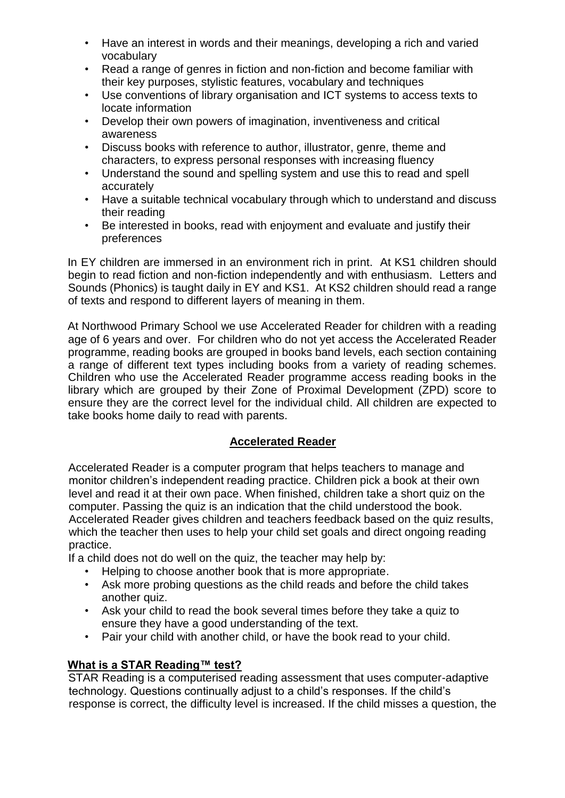- Have an interest in words and their meanings, developing a rich and varied vocabulary
- Read a range of genres in fiction and non-fiction and become familiar with their key purposes, stylistic features, vocabulary and techniques
- Use conventions of library organisation and ICT systems to access texts to locate information
- Develop their own powers of imagination, inventiveness and critical awareness
- Discuss books with reference to author, illustrator, genre, theme and characters, to express personal responses with increasing fluency
- Understand the sound and spelling system and use this to read and spell accurately
- Have a suitable technical vocabulary through which to understand and discuss their reading
- Be interested in books, read with enjoyment and evaluate and justify their preferences

In EY children are immersed in an environment rich in print. At KS1 children should begin to read fiction and non-fiction independently and with enthusiasm. Letters and Sounds (Phonics) is taught daily in EY and KS1. At KS2 children should read a range of texts and respond to different layers of meaning in them.

At Northwood Primary School we use Accelerated Reader for children with a reading age of 6 years and over. For children who do not yet access the Accelerated Reader programme, reading books are grouped in books band levels, each section containing a range of different text types including books from a variety of reading schemes. Children who use the Accelerated Reader programme access reading books in the library which are grouped by their Zone of Proximal Development (ZPD) score to ensure they are the correct level for the individual child. All children are expected to take books home daily to read with parents.

## **Accelerated Reader**

Accelerated Reader is a computer program that helps teachers to manage and monitor children's independent reading practice. Children pick a book at their own level and read it at their own pace. When finished, children take a short quiz on the computer. Passing the quiz is an indication that the child understood the book. Accelerated Reader gives children and teachers feedback based on the quiz results, which the teacher then uses to help your child set goals and direct ongoing reading practice.

If a child does not do well on the quiz, the teacher may help by:

- Helping to choose another book that is more appropriate.
- Ask more probing questions as the child reads and before the child takes another quiz.
- Ask your child to read the book several times before they take a quiz to ensure they have a good understanding of the text.
- Pair your child with another child, or have the book read to your child.

## **What is a STAR Reading™ test?**

STAR Reading is a computerised reading assessment that uses computer-adaptive technology. Questions continually adjust to a child's responses. If the child's response is correct, the difficulty level is increased. If the child misses a question, the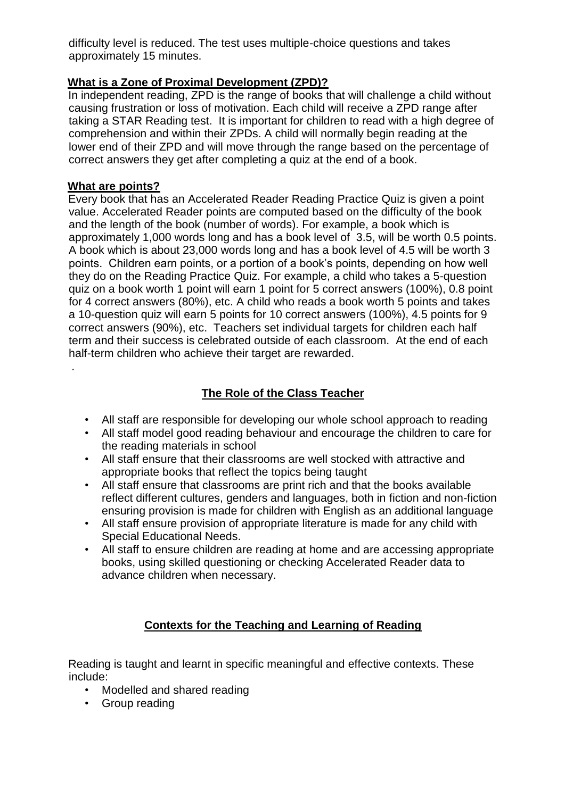difficulty level is reduced. The test uses multiple-choice questions and takes approximately 15 minutes.

## **What is a Zone of Proximal Development (ZPD)?**

In independent reading, ZPD is the range of books that will challenge a child without causing frustration or loss of motivation. Each child will receive a ZPD range after taking a STAR Reading test. It is important for children to read with a high degree of comprehension and within their ZPDs. A child will normally begin reading at the lower end of their ZPD and will move through the range based on the percentage of correct answers they get after completing a quiz at the end of a book.

#### **What are points?**

.

Every book that has an Accelerated Reader Reading Practice Quiz is given a point value. Accelerated Reader points are computed based on the difficulty of the book and the length of the book (number of words). For example, a book which is approximately 1,000 words long and has a book level of 3.5, will be worth 0.5 points. A book which is about 23,000 words long and has a book level of 4.5 will be worth 3 points. Children earn points, or a portion of a book's points, depending on how well they do on the Reading Practice Quiz. For example, a child who takes a 5-question quiz on a book worth 1 point will earn 1 point for 5 correct answers (100%), 0.8 point for 4 correct answers (80%), etc. A child who reads a book worth 5 points and takes a 10-question quiz will earn 5 points for 10 correct answers (100%), 4.5 points for 9 correct answers (90%), etc. Teachers set individual targets for children each half term and their success is celebrated outside of each classroom. At the end of each half-term children who achieve their target are rewarded.

## **The Role of the Class Teacher**

- All staff are responsible for developing our whole school approach to reading
- All staff model good reading behaviour and encourage the children to care for the reading materials in school
- All staff ensure that their classrooms are well stocked with attractive and appropriate books that reflect the topics being taught
- All staff ensure that classrooms are print rich and that the books available reflect different cultures, genders and languages, both in fiction and non-fiction ensuring provision is made for children with English as an additional language
- All staff ensure provision of appropriate literature is made for any child with Special Educational Needs.
- All staff to ensure children are reading at home and are accessing appropriate books, using skilled questioning or checking Accelerated Reader data to advance children when necessary.

## **Contexts for the Teaching and Learning of Reading**

Reading is taught and learnt in specific meaningful and effective contexts. These include:

- Modelled and shared reading
- Group reading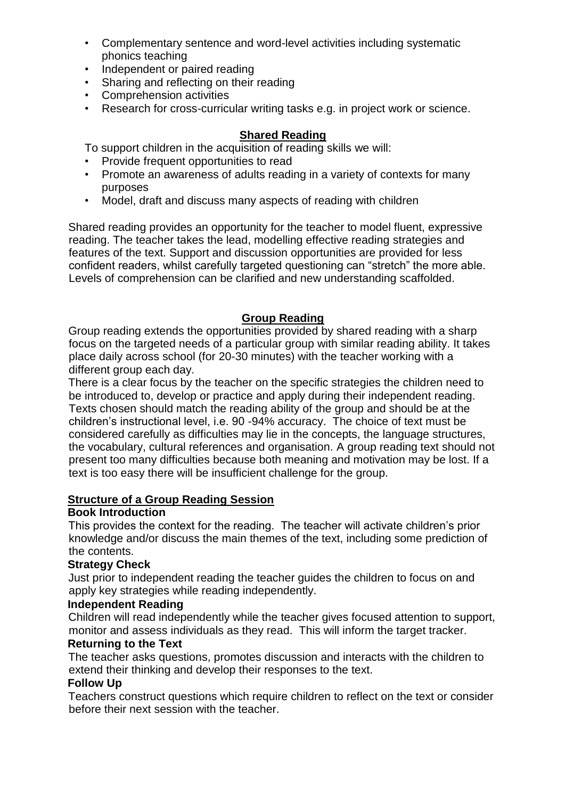- Complementary sentence and word-level activities including systematic phonics teaching
- Independent or paired reading
- Sharing and reflecting on their reading
- Comprehension activities
- Research for cross-curricular writing tasks e.g. in project work or science.

## **Shared Reading**

To support children in the acquisition of reading skills we will:

- Provide frequent opportunities to read
- Promote an awareness of adults reading in a variety of contexts for many purposes
- Model, draft and discuss many aspects of reading with children

Shared reading provides an opportunity for the teacher to model fluent, expressive reading. The teacher takes the lead, modelling effective reading strategies and features of the text. Support and discussion opportunities are provided for less confident readers, whilst carefully targeted questioning can "stretch" the more able. Levels of comprehension can be clarified and new understanding scaffolded.

## **Group Reading**

Group reading extends the opportunities provided by shared reading with a sharp focus on the targeted needs of a particular group with similar reading ability. It takes place daily across school (for 20-30 minutes) with the teacher working with a different group each day.

There is a clear focus by the teacher on the specific strategies the children need to be introduced to, develop or practice and apply during their independent reading. Texts chosen should match the reading ability of the group and should be at the children's instructional level, i.e. 90 -94% accuracy. The choice of text must be considered carefully as difficulties may lie in the concepts, the language structures, the vocabulary, cultural references and organisation. A group reading text should not present too many difficulties because both meaning and motivation may be lost. If a text is too easy there will be insufficient challenge for the group.

#### **Structure of a Group Reading Session**

#### **Book Introduction**

This provides the context for the reading. The teacher will activate children's prior knowledge and/or discuss the main themes of the text, including some prediction of the contents.

#### **Strategy Check**

Just prior to independent reading the teacher guides the children to focus on and apply key strategies while reading independently.

#### **Independent Reading**

Children will read independently while the teacher gives focused attention to support, monitor and assess individuals as they read. This will inform the target tracker.

## **Returning to the Text**

The teacher asks questions, promotes discussion and interacts with the children to extend their thinking and develop their responses to the text.

#### **Follow Up**

Teachers construct questions which require children to reflect on the text or consider before their next session with the teacher.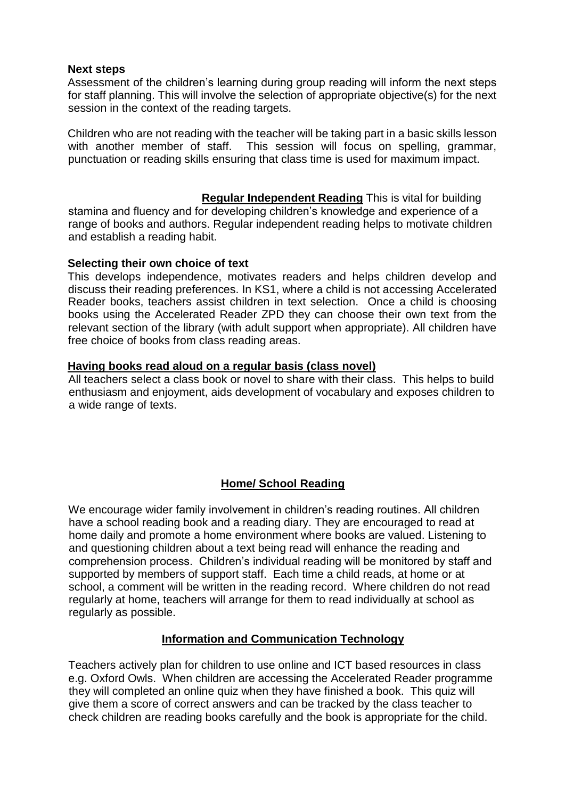#### **Next steps**

Assessment of the children's learning during group reading will inform the next steps for staff planning. This will involve the selection of appropriate objective(s) for the next session in the context of the reading targets.

Children who are not reading with the teacher will be taking part in a basic skills lesson with another member of staff. This session will focus on spelling, grammar, punctuation or reading skills ensuring that class time is used for maximum impact.

**Regular Independent Reading** This is vital for building stamina and fluency and for developing children's knowledge and experience of a range of books and authors. Regular independent reading helps to motivate children and establish a reading habit.

#### **Selecting their own choice of text**

This develops independence, motivates readers and helps children develop and discuss their reading preferences. In KS1, where a child is not accessing Accelerated Reader books, teachers assist children in text selection. Once a child is choosing books using the Accelerated Reader ZPD they can choose their own text from the relevant section of the library (with adult support when appropriate). All children have free choice of books from class reading areas.

#### **Having books read aloud on a regular basis (class novel)**

All teachers select a class book or novel to share with their class. This helps to build enthusiasm and enjoyment, aids development of vocabulary and exposes children to a wide range of texts.

#### **Home/ School Reading**

We encourage wider family involvement in children's reading routines. All children have a school reading book and a reading diary. They are encouraged to read at home daily and promote a home environment where books are valued. Listening to and questioning children about a text being read will enhance the reading and comprehension process. Children's individual reading will be monitored by staff and supported by members of support staff. Each time a child reads, at home or at school, a comment will be written in the reading record. Where children do not read regularly at home, teachers will arrange for them to read individually at school as regularly as possible.

#### **Information and Communication Technology**

Teachers actively plan for children to use online and ICT based resources in class e.g. Oxford Owls. When children are accessing the Accelerated Reader programme they will completed an online quiz when they have finished a book. This quiz will give them a score of correct answers and can be tracked by the class teacher to check children are reading books carefully and the book is appropriate for the child.